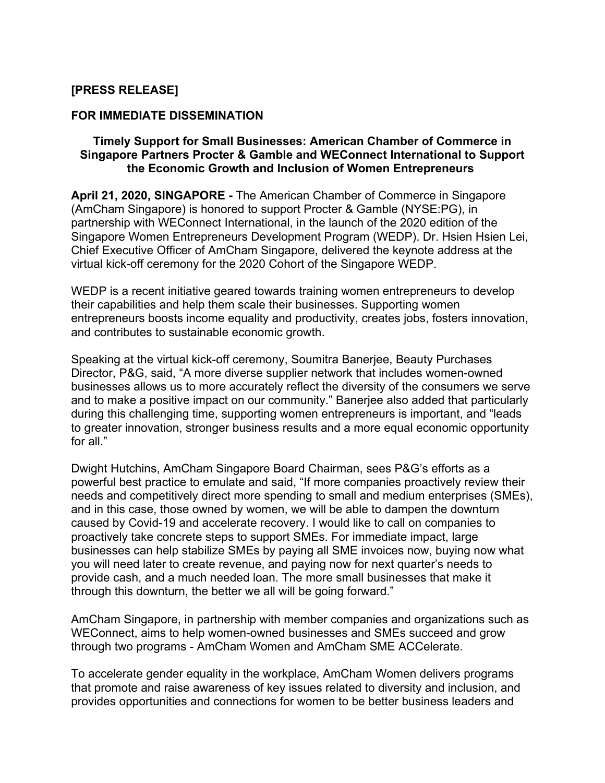# **[PRESS RELEASE]**

### **FOR IMMEDIATE DISSEMINATION**

## **Timely Support for Small Businesses: American Chamber of Commerce in Singapore Partners Procter & Gamble and WEConnect International to Support the Economic Growth and Inclusion of Women Entrepreneurs**

**April 21, 2020, SINGAPORE -** The American Chamber of Commerce in Singapore (AmCham Singapore) is honored to support Procter & Gamble (NYSE:PG), in partnership with WEConnect International, in the launch of the 2020 edition of the Singapore Women Entrepreneurs Development Program (WEDP). Dr. Hsien Hsien Lei, Chief Executive Officer of AmCham Singapore, delivered the keynote address at the virtual kick-off ceremony for the 2020 Cohort of the Singapore WEDP.

WEDP is a recent initiative geared towards training women entrepreneurs to develop their capabilities and help them scale their businesses. Supporting women entrepreneurs boosts income equality and productivity, creates jobs, fosters innovation, and contributes to sustainable economic growth.

Speaking at the virtual kick-off ceremony, Soumitra Banerjee, Beauty Purchases Director, P&G, said, "A more diverse supplier network that includes women-owned businesses allows us to more accurately reflect the diversity of the consumers we serve and to make a positive impact on our community." Banerjee also added that particularly during this challenging time, supporting women entrepreneurs is important, and "leads to greater innovation, stronger business results and a more equal economic opportunity for all."

Dwight Hutchins, AmCham Singapore Board Chairman, sees P&G's efforts as a powerful best practice to emulate and said, "If more companies proactively review their needs and competitively direct more spending to small and medium enterprises (SMEs), and in this case, those owned by women, we will be able to dampen the downturn caused by Covid-19 and accelerate recovery. I would like to call on companies to proactively take concrete steps to support SMEs. For immediate impact, large businesses can help stabilize SMEs by paying all SME invoices now, buying now what you will need later to create revenue, and paying now for next quarter's needs to provide cash, and a much needed loan. The more small businesses that make it through this downturn, the better we all will be going forward."

AmCham Singapore, in partnership with member companies and organizations such as WEConnect, aims to help women-owned businesses and SMEs succeed and grow through two programs - AmCham Women and AmCham SME ACCelerate.

To accelerate gender equality in the workplace, AmCham Women delivers programs that promote and raise awareness of key issues related to diversity and inclusion, and provides opportunities and connections for women to be better business leaders and